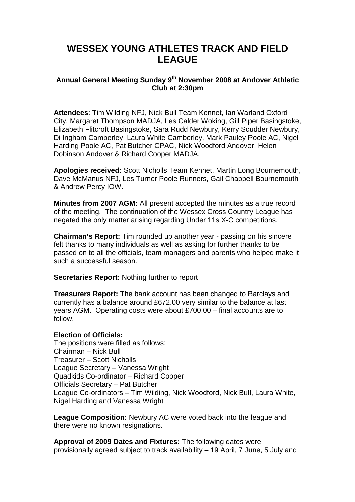## **WESSEX YOUNG ATHLETES TRACK AND FIELD LEAGUE**

## **Annual General Meeting Sunday 9th November 2008 at Andover Athletic Club at 2:30pm**

**Attendees**: Tim Wilding NFJ, Nick Bull Team Kennet, Ian Warland Oxford City, Margaret Thompson MADJA, Les Calder Woking, Gill Piper Basingstoke, Elizabeth Flitcroft Basingstoke, Sara Rudd Newbury, Kerry Scudder Newbury, Di Ingham Camberley, Laura White Camberley, Mark Pauley Poole AC, Nigel Harding Poole AC, Pat Butcher CPAC, Nick Woodford Andover, Helen Dobinson Andover & Richard Cooper MADJA.

**Apologies received:** Scott Nicholls Team Kennet, Martin Long Bournemouth, Dave McManus NFJ, Les Turner Poole Runners, Gail Chappell Bournemouth & Andrew Percy IOW.

**Minutes from 2007 AGM:** All present accepted the minutes as a true record of the meeting. The continuation of the Wessex Cross Country League has negated the only matter arising regarding Under 11s X-C competitions.

**Chairman's Report:** Tim rounded up another year - passing on his sincere felt thanks to many individuals as well as asking for further thanks to be passed on to all the officials, team managers and parents who helped make it such a successful season.

**Secretaries Report:** Nothing further to report

**Treasurers Report:** The bank account has been changed to Barclays and currently has a balance around £672.00 very similar to the balance at last years AGM. Operating costs were about £700.00 – final accounts are to follow.

## **Election of Officials:**

The positions were filled as follows: Chairman – Nick Bull Treasurer – Scott Nicholls League Secretary – Vanessa Wright Quadkids Co-ordinator – Richard Cooper Officials Secretary – Pat Butcher League Co-ordinators – Tim Wilding, Nick Woodford, Nick Bull, Laura White, Nigel Harding and Vanessa Wright

**League Composition:** Newbury AC were voted back into the league and there were no known resignations.

**Approval of 2009 Dates and Fixtures:** The following dates were provisionally agreed subject to track availability – 19 April, 7 June, 5 July and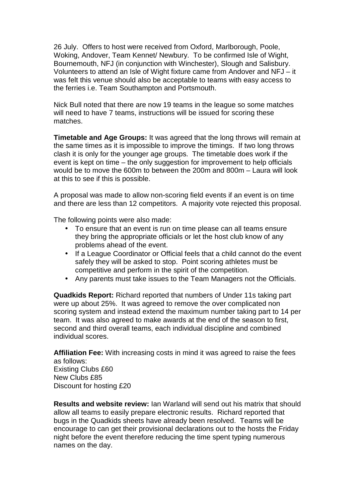26 July. Offers to host were received from Oxford, Marlborough, Poole, Woking, Andover, Team Kennet/ Newbury. To be confirmed Isle of Wight, Bournemouth, NFJ (in conjunction with Winchester), Slough and Salisbury. Volunteers to attend an Isle of Wight fixture came from Andover and NFJ – it was felt this venue should also be acceptable to teams with easy access to the ferries i.e. Team Southampton and Portsmouth.

Nick Bull noted that there are now 19 teams in the league so some matches will need to have 7 teams, instructions will be issued for scoring these matches.

**Timetable and Age Groups:** It was agreed that the long throws will remain at the same times as it is impossible to improve the timings. If two long throws clash it is only for the younger age groups. The timetable does work if the event is kept on time – the only suggestion for improvement to help officials would be to move the 600m to between the 200m and 800m – Laura will look at this to see if this is possible.

A proposal was made to allow non-scoring field events if an event is on time and there are less than 12 competitors. A majority vote rejected this proposal.

The following points were also made:

- To ensure that an event is run on time please can all teams ensure they bring the appropriate officials or let the host club know of any problems ahead of the event.
- If a League Coordinator or Official feels that a child cannot do the event safely they will be asked to stop. Point scoring athletes must be competitive and perform in the spirit of the competition.
- Any parents must take issues to the Team Managers not the Officials.

**Quadkids Report:** Richard reported that numbers of Under 11s taking part were up about 25%. It was agreed to remove the over complicated non scoring system and instead extend the maximum number taking part to 14 per team. It was also agreed to make awards at the end of the season to first, second and third overall teams, each individual discipline and combined individual scores.

**Affiliation Fee:** With increasing costs in mind it was agreed to raise the fees as follows: Existing Clubs £60 New Clubs £85 Discount for hosting £20

**Results and website review:** Ian Warland will send out his matrix that should allow all teams to easily prepare electronic results. Richard reported that bugs in the Quadkids sheets have already been resolved. Teams will be encourage to can get their provisional declarations out to the hosts the Friday night before the event therefore reducing the time spent typing numerous names on the day.